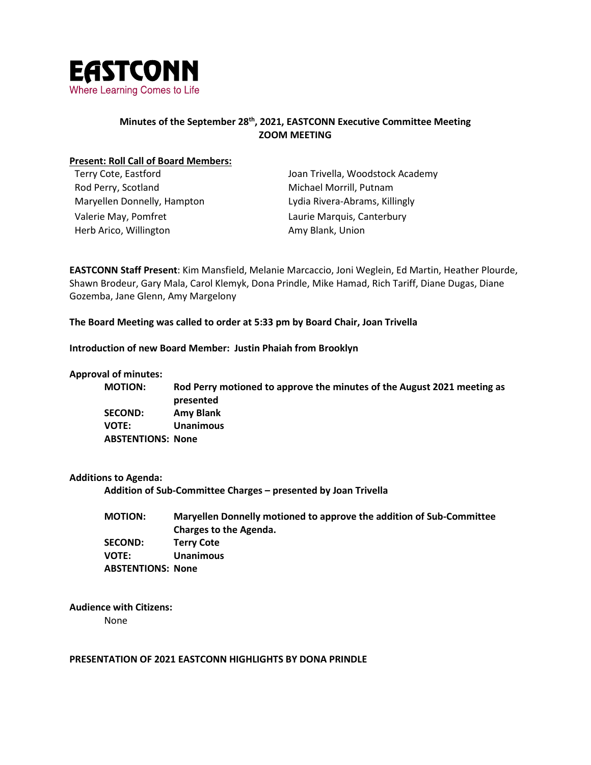

## **Minutes of the September 28th, 2021, EASTCONN Executive Committee Meeting ZOOM MEETING**

#### **Present: Roll Call of Board Members:**

| Terry Cote, Eastford        | Joan Trivella, Woodstock Academy |
|-----------------------------|----------------------------------|
| Rod Perry, Scotland         | Michael Morrill, Putnam          |
| Maryellen Donnelly, Hampton | Lydia Rivera-Abrams, Killingly   |
| Valerie May, Pomfret        | Laurie Marquis, Canterbury       |
| Herb Arico, Willington      | Amy Blank, Union                 |
|                             |                                  |

**EASTCONN Staff Present**: Kim Mansfield, Melanie Marcaccio, Joni Weglein, Ed Martin, Heather Plourde, Shawn Brodeur, Gary Mala, Carol Klemyk, Dona Prindle, Mike Hamad, Rich Tariff, Diane Dugas, Diane Gozemba, Jane Glenn, Amy Margelony

**The Board Meeting was called to order at 5:33 pm by Board Chair, Joan Trivella**

**Introduction of new Board Member: Justin Phaiah from Brooklyn**

#### **Approval of minutes:**

**MOTION: Rod Perry motioned to approve the minutes of the August 2021 meeting as presented SECOND: Amy Blank VOTE: Unanimous ABSTENTIONS: None**

#### **Additions to Agenda:**

**Addition of Sub-Committee Charges – presented by Joan Trivella**

| <b>MOTION:</b>           | Maryellen Donnelly motioned to approve the addition of Sub-Committee |
|--------------------------|----------------------------------------------------------------------|
|                          | Charges to the Agenda.                                               |
| <b>SECOND:</b>           | <b>Terry Cote</b>                                                    |
| <b>VOTE:</b>             | <b>Unanimous</b>                                                     |
| <b>ABSTENTIONS: None</b> |                                                                      |

**Audience with Citizens:**

None

#### **PRESENTATION OF 2021 EASTCONN HIGHLIGHTS BY DONA PRINDLE**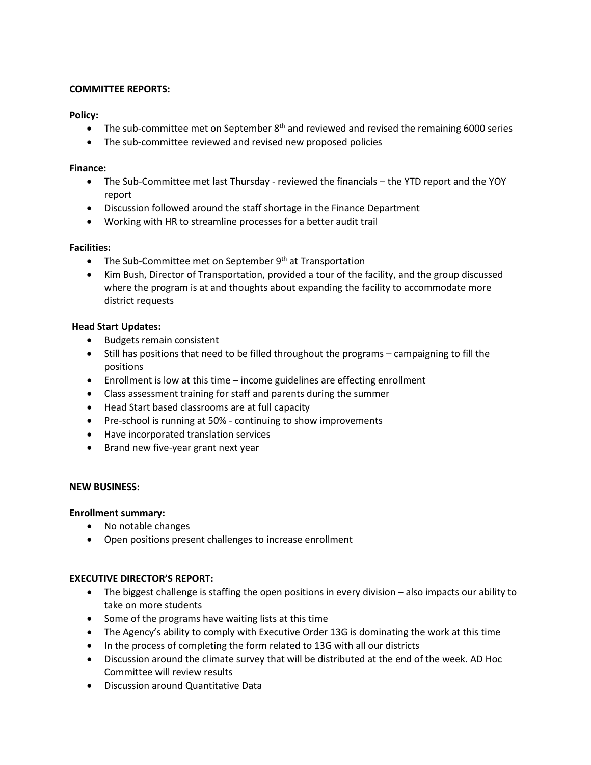## **COMMITTEE REPORTS:**

## **Policy:**

- The sub-committee met on September  $8<sup>th</sup>$  and reviewed and revised the remaining 6000 series
- The sub-committee reviewed and revised new proposed policies

## **Finance:**

- The Sub-Committee met last Thursday reviewed the financials the YTD report and the YOY report
- Discussion followed around the staff shortage in the Finance Department
- Working with HR to streamline processes for a better audit trail

## **Facilities:**

- The Sub-Committee met on September  $9<sup>th</sup>$  at Transportation
- Kim Bush, Director of Transportation, provided a tour of the facility, and the group discussed where the program is at and thoughts about expanding the facility to accommodate more district requests

## **Head Start Updates:**

- Budgets remain consistent
- Still has positions that need to be filled throughout the programs campaigning to fill the positions
- $\bullet$  Enrollment is low at this time income guidelines are effecting enrollment
- Class assessment training for staff and parents during the summer
- Head Start based classrooms are at full capacity
- Pre-school is running at 50% continuing to show improvements
- Have incorporated translation services
- $\bullet$  Brand new five-year grant next year

## **NEW BUSINESS:**

## **Enrollment summary:**

- No notable changes
- Open positions present challenges to increase enrollment

## **EXECUTIVE DIRECTOR'S REPORT:**

- The biggest challenge is staffing the open positions in every division also impacts our ability to take on more students
- Some of the programs have waiting lists at this time
- The Agency's ability to comply with Executive Order 13G is dominating the work at this time
- In the process of completing the form related to 13G with all our districts
- Discussion around the climate survey that will be distributed at the end of the week. AD Hoc Committee will review results
- Discussion around Quantitative Data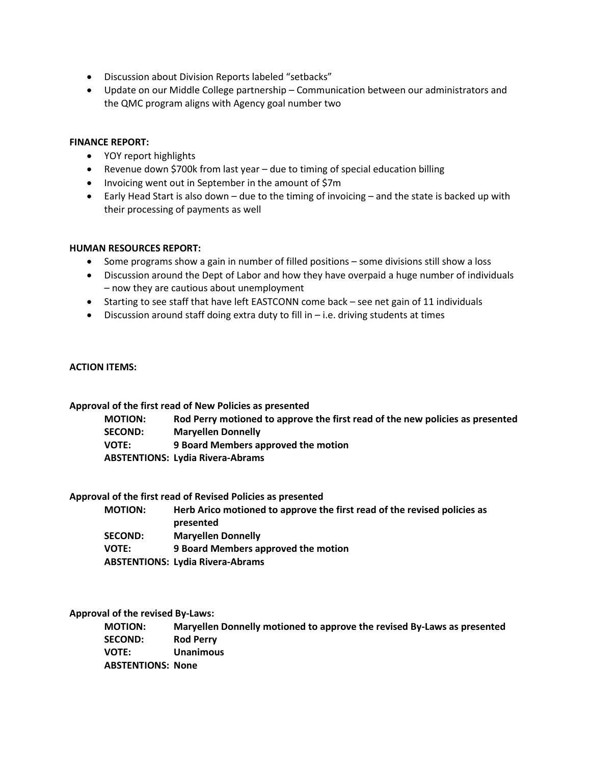- **•** Discussion about Division Reports labeled "setbacks"
- Update on our Middle College partnership Communication between our administrators and the QMC program aligns with Agency goal number two

#### **FINANCE REPORT:**

- YOY report highlights
- Revenue down \$700k from last year due to timing of special education billing
- Invoicing went out in September in the amount of \$7m
- Early Head Start is also down due to the timing of invoicing and the state is backed up with their processing of payments as well

#### **HUMAN RESOURCES REPORT:**

- $\bullet$  Some programs show a gain in number of filled positions some divisions still show a loss
- Discussion around the Dept of Labor and how they have overpaid a huge number of individuals – now they are cautious about unemployment
- Starting to see staff that have left EASTCONN come back see net gain of 11 individuals
- $\bullet$  Discussion around staff doing extra duty to fill in i.e. driving students at times

#### **ACTION ITEMS:**

**Approval of the first read of New Policies as presented**

**MOTION: Rod Perry motioned to approve the first read of the new policies as presented Maryellen Donnelly VOTE: 9 Board Members approved the motion ABSTENTIONS: Lydia Rivera-Abrams**

#### **Approval of the first read of Revised Policies as presented**

| <b>MOTION:</b> | Herb Arico motioned to approve the first read of the revised policies as |
|----------------|--------------------------------------------------------------------------|
|                | presented                                                                |
| <b>SECOND:</b> | <b>Marvellen Donnelly</b>                                                |
| <b>VOTE:</b>   | 9 Board Members approved the motion                                      |
|                | <b>ABSTENTIONS: Lydia Rivera-Abrams</b>                                  |

#### **Approval of the revised By-Laws:**

**MOTION: Maryellen Donnelly motioned to approve the revised By-Laws as presented SECOND: Rod Perry VOTE: Unanimous ABSTENTIONS: None**